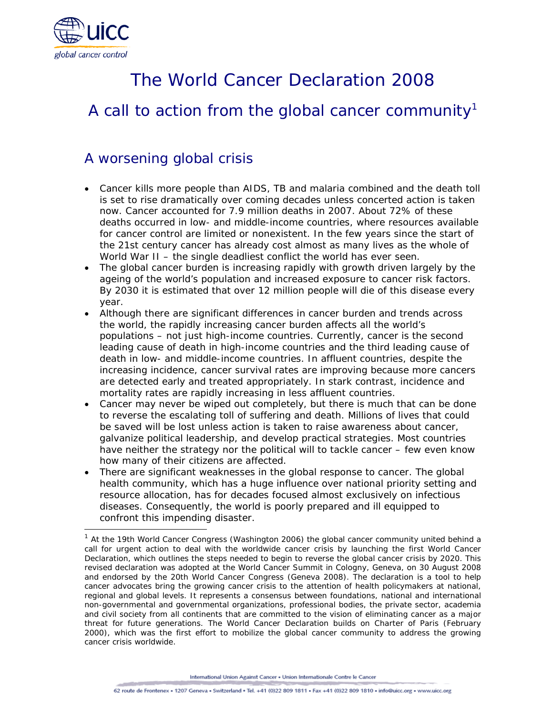

j

# The World Cancer Declaration 2008

## A call to action from the global cancer community<sup>1</sup>

## A worsening global crisis

- Cancer kills more people than AIDS, TB and malaria combined and the death toll is set to rise dramatically over coming decades unless concerted action is taken now. Cancer accounted for 7.9 million deaths in 2007. About 72% of these deaths occurred in low- and middle-income countries, where resources available for cancer control are limited or nonexistent. In the few years since the start of the 21st century cancer has already cost almost as many lives as the whole of World War II – the single deadliest conflict the world has ever seen.
- The global cancer burden is increasing rapidly with growth driven largely by the ageing of the world's population and increased exposure to cancer risk factors. By 2030 it is estimated that over 12 million people will die of this disease every year.
- Although there are significant differences in cancer burden and trends across the world, the rapidly increasing cancer burden affects all the world's populations – not just high-income countries. Currently, cancer is the second leading cause of death in high-income countries and the third leading cause of death in low- and middle-income countries. In affluent countries, despite the increasing incidence, cancer survival rates are improving because more cancers are detected early and treated appropriately. In stark contrast, incidence and mortality rates are rapidly increasing in less affluent countries.
- Cancer may never be wiped out completely, but there is much that can be done to reverse the escalating toll of suffering and death. Millions of lives that could be saved will be lost unless action is taken to raise awareness about cancer, galvanize political leadership, and develop practical strategies. Most countries have neither the strategy nor the political will to tackle cancer – few even know how many of their citizens are affected.
- There are significant weaknesses in the global response to cancer. The global health community, which has a huge influence over national priority setting and resource allocation, has for decades focused almost exclusively on infectious diseases. Consequently, the world is poorly prepared and ill equipped to confront this impending disaster.

International Union Against Cancer . Union Internationale Contre le Cancer

 $1$  At the 19th World Cancer Congress (Washington 2006) the global cancer community united behind a call for urgent action to deal with the worldwide cancer crisis by launching the first World Cancer Declaration, which outlines the steps needed to begin to reverse the global cancer crisis by 2020. This revised declaration was adopted at the World Cancer Summit in Cologny, Geneva, on 30 August 2008 and endorsed by the 20th World Cancer Congress (Geneva 2008). The declaration is a tool to help cancer advocates bring the growing cancer crisis to the attention of health policymakers at national, regional and global levels. It represents a consensus between foundations, national and international non-governmental and governmental organizations, professional bodies, the private sector, academia and civil society from all continents that are committed to the vision of eliminating cancer as a major threat for future generations. The World Cancer Declaration builds on Charter of Paris (February 2000), which was the first effort to mobilize the global cancer community to address the growing cancer crisis worldwide.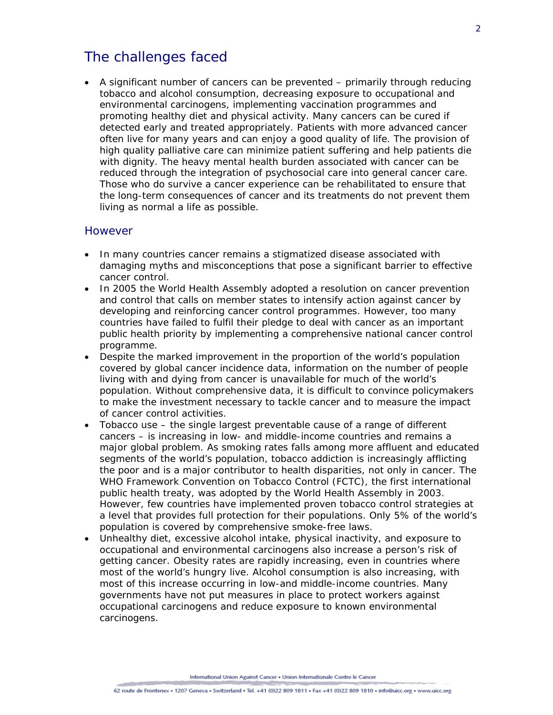### The challenges faced

• A significant number of cancers can be prevented – primarily through reducing tobacco and alcohol consumption, decreasing exposure to occupational and environmental carcinogens, implementing vaccination programmes and promoting healthy diet and physical activity. Many cancers can be cured if detected early and treated appropriately. Patients with more advanced cancer often live for many years and can enjoy a good quality of life. The provision of high quality palliative care can minimize patient suffering and help patients die with dignity. The heavy mental health burden associated with cancer can be reduced through the integration of psychosocial care into general cancer care. Those who do survive a cancer experience can be rehabilitated to ensure that the long-term consequences of cancer and its treatments do not prevent them living as normal a life as possible.

#### However

- In many countries cancer remains a stigmatized disease associated with damaging myths and misconceptions that pose a significant barrier to effective cancer control.
- In 2005 the World Health Assembly adopted a resolution on cancer prevention and control that calls on member states to intensify action against cancer by developing and reinforcing cancer control programmes. However, too many countries have failed to fulfil their pledge to deal with cancer as an important public health priority by implementing a comprehensive national cancer control programme.
- Despite the marked improvement in the proportion of the world's population covered by global cancer incidence data, information on the number of people living with and dying from cancer is unavailable for much of the world's population. Without comprehensive data, it is difficult to convince policymakers to make the investment necessary to tackle cancer and to measure the impact of cancer control activities.
- Tobacco use the single largest preventable cause of a range of different cancers – is increasing in low- and middle-income countries and remains a major global problem. As smoking rates falls among more affluent and educated segments of the world's population, tobacco addiction is increasingly afflicting the poor and is a major contributor to health disparities, not only in cancer. The WHO Framework Convention on Tobacco Control (FCTC), the first international public health treaty, was adopted by the World Health Assembly in 2003. However, few countries have implemented proven tobacco control strategies at a level that provides full protection for their populations. Only 5% of the world's population is covered by comprehensive smoke-free laws.
- Unhealthy diet, excessive alcohol intake, physical inactivity, and exposure to occupational and environmental carcinogens also increase a person's risk of getting cancer. Obesity rates are rapidly increasing, even in countries where most of the world's hungry live. Alcohol consumption is also increasing, with most of this increase occurring in low-and middle-income countries. Many governments have not put measures in place to protect workers against occupational carcinogens and reduce exposure to known environmental carcinogens.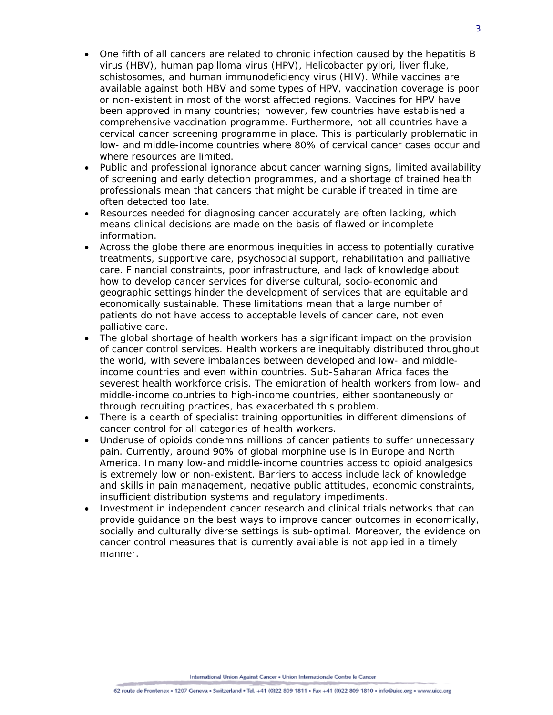- One fifth of all cancers are related to chronic infection caused by the hepatitis B virus (HBV), human papilloma virus (HPV), *Helicobacter pylori*, liver fluke, schistosomes, and human immunodeficiency virus (HIV). While vaccines are available against both HBV and some types of HPV, vaccination coverage is poor or non-existent in most of the worst affected regions. Vaccines for HPV have been approved in many countries; however, few countries have established a comprehensive vaccination programme. Furthermore, not all countries have a cervical cancer screening programme in place. This is particularly problematic in low- and middle-income countries where 80% of cervical cancer cases occur and where resources are limited.
- Public and professional ignorance about cancer warning signs, limited availability of screening and early detection programmes, and a shortage of trained health professionals mean that cancers that might be curable if treated in time are often detected too late.
- Resources needed for diagnosing cancer accurately are often lacking, which means clinical decisions are made on the basis of flawed or incomplete information.
- Across the globe there are enormous inequities in access to potentially curative treatments, supportive care, psychosocial support, rehabilitation and palliative care. Financial constraints, poor infrastructure, and lack of knowledge about how to develop cancer services for diverse cultural, socio-economic and geographic settings hinder the development of services that are equitable and economically sustainable. These limitations mean that a large number of patients do not have access to acceptable levels of cancer care, not even palliative care.
- The global shortage of health workers has a significant impact on the provision of cancer control services. Health workers are inequitably distributed throughout the world, with severe imbalances between developed and low- and middleincome countries and even within countries. Sub-Saharan Africa faces the severest health workforce crisis. The emigration of health workers from low- and middle-income countries to high-income countries, either spontaneously or through recruiting practices, has exacerbated this problem.
- There is a dearth of specialist training opportunities in different dimensions of cancer control for all categories of health workers.
- Underuse of opioids condemns millions of cancer patients to suffer unnecessary pain. Currently, around 90% of global morphine use is in Europe and North America. In many low-and middle-income countries access to opioid analgesics is extremely low or non-existent. Barriers to access include lack of knowledge and skills in pain management, negative public attitudes, economic constraints, insufficient distribution systems and regulatory impediments.
- Investment in independent cancer research and clinical trials networks that can provide guidance on the best ways to improve cancer outcomes in economically, socially and culturally diverse settings is sub-optimal. Moreover, the evidence on cancer control measures that is currently available is not applied in a timely manner.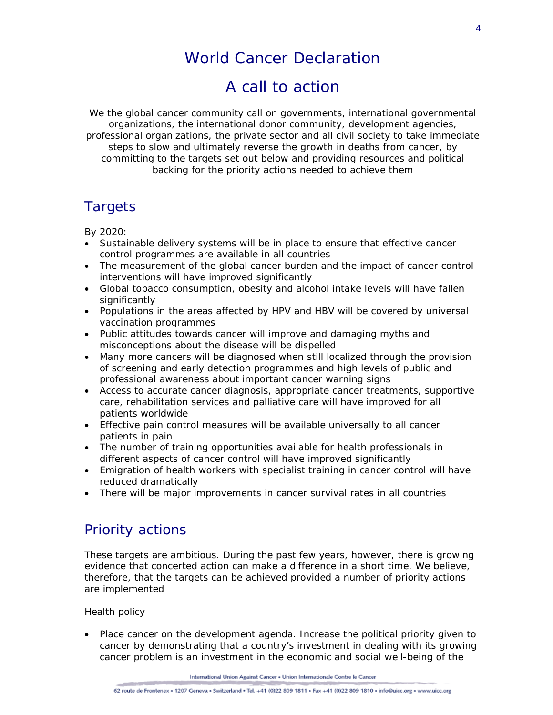## World Cancer Declaration

## A call to action

*We the global cancer community call on governments, international governmental organizations, the international donor community, development agencies, professional organizations, the private sector and all civil society to take immediate steps to slow and ultimately reverse the growth in deaths from cancer, by committing to the targets set out below and providing resources and political backing for the priority actions needed to achieve them*

### **Targets**

By 2020:

- Sustainable delivery systems will be in place to ensure that effective cancer control programmes are available in all countries
- The measurement of the global cancer burden and the impact of cancer control interventions will have improved significantly
- Global tobacco consumption, obesity and alcohol intake levels will have fallen significantly
- Populations in the areas affected by HPV and HBV will be covered by universal vaccination programmes
- Public attitudes towards cancer will improve and damaging myths and misconceptions about the disease will be dispelled
- Many more cancers will be diagnosed when still localized through the provision of screening and early detection programmes and high levels of public and professional awareness about important cancer warning signs
- Access to accurate cancer diagnosis, appropriate cancer treatments, supportive care, rehabilitation services and palliative care will have improved for all patients worldwide
- Effective pain control measures will be available universally to all cancer patients in pain
- The number of training opportunities available for health professionals in different aspects of cancer control will have improved significantly
- Emigration of health workers with specialist training in cancer control will have reduced dramatically
- There will be major improvements in cancer survival rates in all countries

## Priority actions

These targets are ambitious. During the past few years, however, there is growing evidence that concerted action can make a difference in a short time. We believe, therefore, that the targets can be achieved provided a number of priority actions are implemented

#### *Health policy*

• Place cancer on the development agenda. Increase the political priority given to cancer by demonstrating that a country's investment in dealing with its growing cancer problem is an investment in the economic and social well-being of the

International Union Against Cancer . Union Internationale Contre le Cancer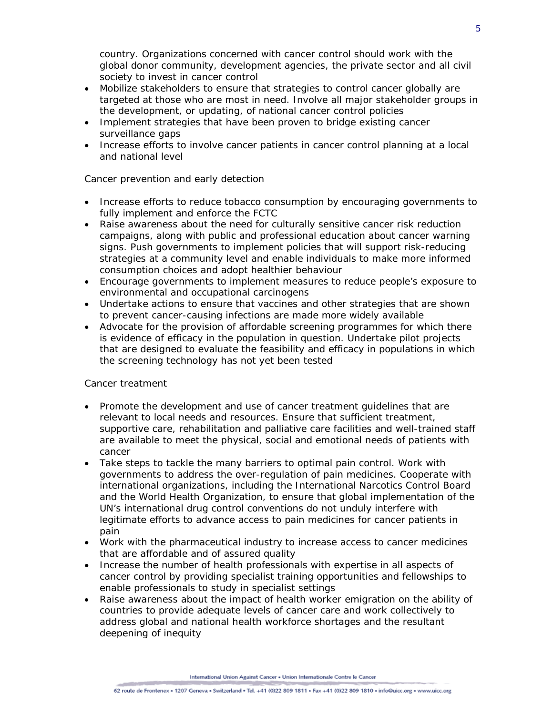country. Organizations concerned with cancer control should work with the global donor community, development agencies, the private sector and all civil society to invest in cancer control

- Mobilize stakeholders to ensure that strategies to control cancer globally are targeted at those who are most in need. Involve all major stakeholder groups in the development, or updating, of national cancer control policies
- Implement strategies that have been proven to bridge existing cancer surveillance gaps
- Increase efforts to involve cancer patients in cancer control planning at a local and national level

### *Cancer prevention and early detection*

- Increase efforts to reduce tobacco consumption by encouraging governments to fully implement and enforce the FCTC
- Raise awareness about the need for culturally sensitive cancer risk reduction campaigns, along with public and professional education about cancer warning signs. Push governments to implement policies that will support risk-reducing strategies at a community level and enable individuals to make more informed consumption choices and adopt healthier behaviour
- Encourage governments to implement measures to reduce people's exposure to environmental and occupational carcinogens
- Undertake actions to ensure that vaccines and other strategies that are shown to prevent cancer-causing infections are made more widely available
- Advocate for the provision of affordable screening programmes for which there is evidence of efficacy in the population in question. Undertake pilot projects that are designed to evaluate the feasibility and efficacy in populations in which the screening technology has not yet been tested

#### *Cancer treatment*

- Promote the development and use of cancer treatment guidelines that are relevant to local needs and resources. Ensure that sufficient treatment, supportive care, rehabilitation and palliative care facilities and well-trained staff are available to meet the physical, social and emotional needs of patients with cancer
- Take steps to tackle the many barriers to optimal pain control. Work with governments to address the over-regulation of pain medicines. Cooperate with international organizations, including the International Narcotics Control Board and the World Health Organization, to ensure that global implementation of the UN's international drug control conventions do not unduly interfere with legitimate efforts to advance access to pain medicines for cancer patients in pain
- Work with the pharmaceutical industry to increase access to cancer medicines that are affordable and of assured quality
- Increase the number of health professionals with expertise in all aspects of cancer control by providing specialist training opportunities and fellowships to enable professionals to study in specialist settings
- Raise awareness about the impact of health worker emigration on the ability of countries to provide adequate levels of cancer care and work collectively to address global and national health workforce shortages and the resultant deepening of inequity